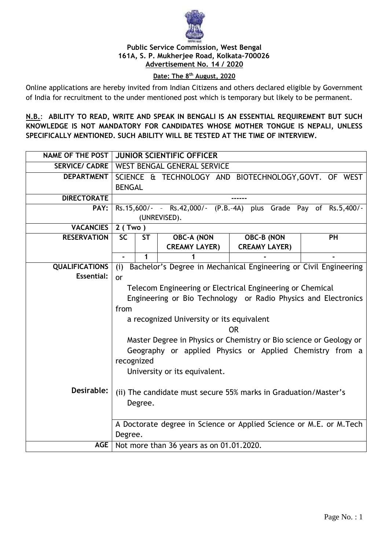

#### **Public Service Commission, West Bengal 161A, S. P. Mukherjee Road, Kolkata-700026 Advertisement No. 14 / 2020**

### **Date: The 8th August, 2020**

Online applications are hereby invited from Indian Citizens and others declared eligible by Government of India for recruitment to the under mentioned post which is temporary but likely to be permanent.

**N.B.**: **ABILITY TO READ, WRITE AND SPEAK IN BENGALI IS AN ESSENTIAL REQUIREMENT BUT SUCH KNOWLEDGE IS NOT MANDATORY FOR CANDIDATES WHOSE MOTHER TONGUE IS NEPALI, UNLESS SPECIFICALLY MENTIONED. SUCH ABILITY WILL BE TESTED AT THE TIME OF INTERVIEW.**

|                       | NAME OF THE POST   JUNIOR SCIENTIFIC OFFICER                            |                                                          |                      |                      |           |  |  |
|-----------------------|-------------------------------------------------------------------------|----------------------------------------------------------|----------------------|----------------------|-----------|--|--|
|                       | <b>SERVICE/ CADRE   WEST BENGAL GENERAL SERVICE</b>                     |                                                          |                      |                      |           |  |  |
| <b>DEPARTMENT</b>     |                                                                         | SCIENCE & TECHNOLOGY AND BIOTECHNOLOGY, GOVT. OF WEST    |                      |                      |           |  |  |
|                       | <b>BENGAL</b>                                                           |                                                          |                      |                      |           |  |  |
| <b>DIRECTORATE</b>    |                                                                         |                                                          |                      |                      |           |  |  |
| PAY:                  | Rs.15,600/- - Rs.42,000/- (P.B.-4A) plus Grade Pay of Rs.5,400/-        |                                                          |                      |                      |           |  |  |
|                       | (UNREVISED).                                                            |                                                          |                      |                      |           |  |  |
| <b>VACANCIES</b>      |                                                                         | $2$ (Two)                                                |                      |                      |           |  |  |
| <b>RESERVATION</b>    | $\overline{SC}$                                                         | <b>ST</b>                                                | <b>OBC-A (NON</b>    | <b>OBC-B (NON</b>    | <b>PH</b> |  |  |
|                       |                                                                         |                                                          | <b>CREAMY LAYER)</b> | <b>CREAMY LAYER)</b> |           |  |  |
|                       | $\blacksquare$                                                          | 1                                                        |                      |                      |           |  |  |
| <b>QUALIFICATIONS</b> | Bachelor's Degree in Mechanical Engineering or Civil Engineering<br>(i) |                                                          |                      |                      |           |  |  |
| <b>Essential:</b>     | or                                                                      |                                                          |                      |                      |           |  |  |
|                       | Telecom Engineering or Electrical Engineering or Chemical               |                                                          |                      |                      |           |  |  |
|                       | Engineering or Bio Technology or Radio Physics and Electronics          |                                                          |                      |                      |           |  |  |
|                       | from                                                                    |                                                          |                      |                      |           |  |  |
|                       | a recognized University or its equivalent                               |                                                          |                      |                      |           |  |  |
|                       | <b>OR</b>                                                               |                                                          |                      |                      |           |  |  |
|                       | Master Degree in Physics or Chemistry or Bio science or Geology or      |                                                          |                      |                      |           |  |  |
|                       |                                                                         | Geography or applied Physics or Applied Chemistry from a |                      |                      |           |  |  |
|                       |                                                                         | recognized                                               |                      |                      |           |  |  |
|                       | University or its equivalent.                                           |                                                          |                      |                      |           |  |  |
|                       |                                                                         |                                                          |                      |                      |           |  |  |
| Desirable:            | (ii) The candidate must secure 55% marks in Graduation/Master's         |                                                          |                      |                      |           |  |  |
|                       | Degree.                                                                 |                                                          |                      |                      |           |  |  |
|                       |                                                                         |                                                          |                      |                      |           |  |  |
|                       | A Doctorate degree in Science or Applied Science or M.E. or M.Tech      |                                                          |                      |                      |           |  |  |
|                       | Degree.                                                                 |                                                          |                      |                      |           |  |  |
| AGE                   | Not more than 36 years as on 01.01.2020.                                |                                                          |                      |                      |           |  |  |
|                       |                                                                         |                                                          |                      |                      |           |  |  |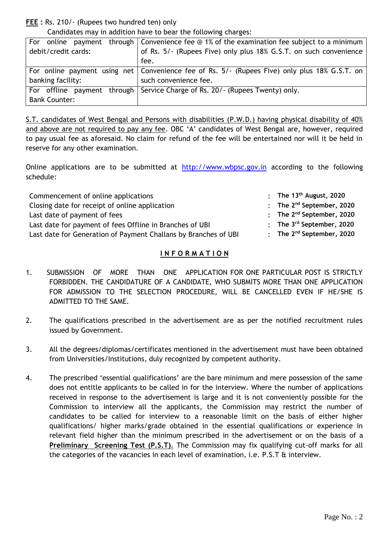**FEE :** Rs. 210/- (Rupees two hundred ten) only

Candidates may in addition have to bear the following charges:

| For                  | online payment through Convenience fee $\circledcirc$ 1% of the examination fee subject to a minimum |  |  |  |
|----------------------|------------------------------------------------------------------------------------------------------|--|--|--|
| debit/credit cards:  | of Rs. 5/- (Rupees Five) only plus 18% G.S.T. on such convenience                                    |  |  |  |
|                      | fee.                                                                                                 |  |  |  |
|                      | For online payment using net   Convenience fee of Rs. 5/- (Rupees Five) only plus 18% G.S.T. on      |  |  |  |
| banking facility:    | such convenience fee.                                                                                |  |  |  |
|                      | For offline payment through   Service Charge of Rs. 20/- (Rupees Twenty) only.                       |  |  |  |
| <b>Bank Counter:</b> |                                                                                                      |  |  |  |

S.T. candidates of West Bengal and Persons with disabilities (P.W.D.) having physical disability of 40% and above are not required to pay any fee. OBC 'A' candidates of West Bengal are, however, required to pay usual fee as aforesaid. No claim for refund of the fee will be entertained nor will it be held in reserve for any other examination.

Online applications are to be submitted at http://www.wbpsc.gov.in according to the following schedule:

| Commencement of online applications                             | : The $13th$ August, 2020                        |
|-----------------------------------------------------------------|--------------------------------------------------|
| Closing date for receipt of online application                  | : The $2^{nd}$ September, 2020                   |
| Last date of payment of fees                                    | : The $2^{nd}$ September, 2020                   |
| Last date for payment of fees Offline in Branches of UBI        | : The $3^{rd}$ September, 2020                   |
| Last date for Generation of Payment Challans by Branches of UBI | $\therefore$ The 2 <sup>nd</sup> September, 2020 |

#### **I N F O R M A T I O N**

- 1. SUBMISSION OF MORE THAN ONE APPLICATION FOR ONE PARTICULAR POST IS STRICTLY FORBIDDEN. THE CANDIDATURE OF A CANDIDATE, WHO SUBMITS MORE THAN ONE APPLICATION FOR ADMISSION TO THE SELECTION PROCEDURE, WILL BE CANCELLED EVEN IF HE/SHE IS ADMITTED TO THE SAME.
- 2. The qualifications prescribed in the advertisement are as per the notified recruitment rules issued by Government.
- 3. All the degrees/diplomas/certificates mentioned in the advertisement must have been obtained from Universities/Institutions, duly recognized by competent authority.
- 4. The prescribed 'essential qualifications' are the bare minimum and mere possession of the same does not entitle applicants to be called in for the interview. Where the number of applications received in response to the advertisement is large and it is not conveniently possible for the Commission to interview all the applicants, the Commission may restrict the number of candidates to be called for interview to a reasonable limit on the basis of either higher qualifications/ higher marks/grade obtained in the essential qualifications or experience in relevant field higher than the minimum prescribed in the advertisement or on the basis of a **Preliminary Screening Test (P.S.T)**. The Commission may fix qualifying cut-off marks for all the categories of the vacancies in each level of examination, i.e. P.S.T & interview.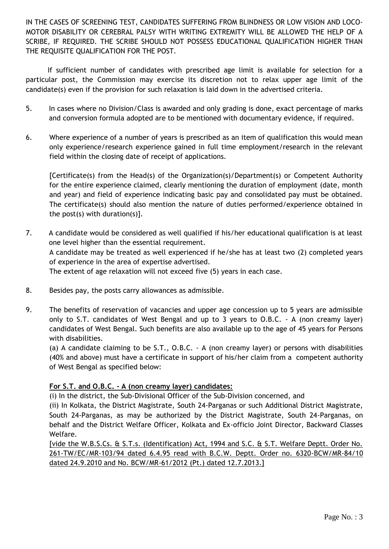IN THE CASES OF SCREENING TEST, CANDIDATES SUFFERING FROM BLINDNESS OR LOW VISION AND LOCO-MOTOR DISABILITY OR CEREBRAL PALSY WITH WRITING EXTREMITY WILL BE ALLOWED THE HELP OF A SCRIBE, IF REQUIRED. THE SCRIBE SHOULD NOT POSSESS EDUCATIONAL QUALIFICATION HIGHER THAN THE REQUISITE QUALIFICATION FOR THE POST.

 If sufficient number of candidates with prescribed age limit is available for selection for a particular post, the Commission may exercise its discretion not to relax upper age limit of the candidate(s) even if the provision for such relaxation is laid down in the advertised criteria.

- 5. In cases where no Division/Class is awarded and only grading is done, exact percentage of marks and conversion formula adopted are to be mentioned with documentary evidence, if required.
- 6. Where experience of a number of years is prescribed as an item of qualification this would mean only experience/research experience gained in full time employment/research in the relevant field within the closing date of receipt of applications.

[Certificate(s) from the Head(s) of the Organization(s)/Department(s) or Competent Authority for the entire experience claimed, clearly mentioning the duration of employment (date, month and year) and field of experience indicating basic pay and consolidated pay must be obtained. The certificate(s) should also mention the nature of duties performed/experience obtained in the post(s) with duration(s)].

- 7. A candidate would be considered as well qualified if his/her educational qualification is at least one level higher than the essential requirement. A candidate may be treated as well experienced if he/she has at least two (2) completed years of experience in the area of expertise advertised. The extent of age relaxation will not exceed five (5) years in each case.
- 8. Besides pay, the posts carry allowances as admissible.
- 9. The benefits of reservation of vacancies and upper age concession up to 5 years are admissible only to S.T. candidates of West Bengal and up to 3 years to O.B.C. - A (non creamy layer) candidates of West Bengal. Such benefits are also available up to the age of 45 years for Persons with disabilities.

(a) A candidate claiming to be S.T., O.B.C. - A (non creamy layer) or persons with disabilities (40% and above) must have a certificate in support of his/her claim from a competent authority of West Bengal as specified below:

# **For S.T. and O.B.C. - A (non creamy layer) candidates:**

(i) In the district, the Sub-Divisional Officer of the Sub-Division concerned, and

(ii) In Kolkata, the District Magistrate, South 24-Parganas or such Additional District Magistrate, South 24-Parganas, as may be authorized by the District Magistrate, South 24-Parganas, on behalf and the District Welfare Officer, Kolkata and Ex-officio Joint Director, Backward Classes Welfare.

[vide the W.B.S.Cs. & S.T.s. (Identification) Act, 1994 and S.C. & S.T. Welfare Deptt. Order No. 261-TW/EC/MR-103/94 dated 6.4.95 read with B.C.W. Deptt. Order no. 6320-BCW/MR-84/10 dated 24.9.2010 and No. BCW/MR-61/2012 (Pt.) dated 12.7.2013.]